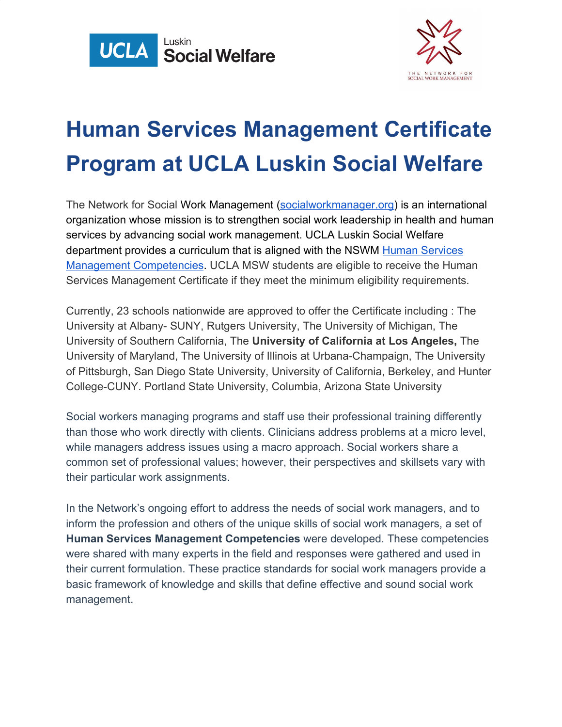



## **Human Services Management Certificate Program at UCLA Luskin Social Welfare**

The Network for Social Work Management [\(socialworkmanager.org\)](https://socialworkmanager.org/) is an international organization whose mission is to strengthen social work leadership in health and human services by advancing social work management. UCLA Luskin Social Welfare department provides a curriculum that is aligned with the NSWM [Human Services](https://socialworkmanager.org/competencies/universities/) [Management Competencies](https://socialworkmanager.org/competencies/universities/). UCLA MSW students are eligible to receive the Human Services Management Certificate if they meet the minimum eligibility requirements.

Currently, 23 schools nationwide are approved to offer the Certificate including : The University at Albany- SUNY, Rutgers University, The University of Michigan, The University of Southern California, The **University of California at Los Angeles,** The University of Maryland, The University of Illinois at Urbana-Champaign, The University of Pittsburgh, San Diego State University, University of California, Berkeley, and Hunter College-CUNY. Portland State University, Columbia, Arizona State University

Social workers managing programs and staff use their professional training differently than those who work directly with clients. Clinicians address problems at a micro level, while managers address issues using a macro approach. Social workers share a common set of professional values; however, their perspectives and skillsets vary with their particular work assignments.

In the Network's ongoing effort to address the needs of social work managers, and to inform the profession and others of the unique skills of social work managers, a set of **Human Services Management Competencies** were developed. These competencies were shared with many experts in the field and responses were gathered and used in their current formulation. These practice standards for social work managers provide a basic framework of knowledge and skills that define effective and sound social work management.